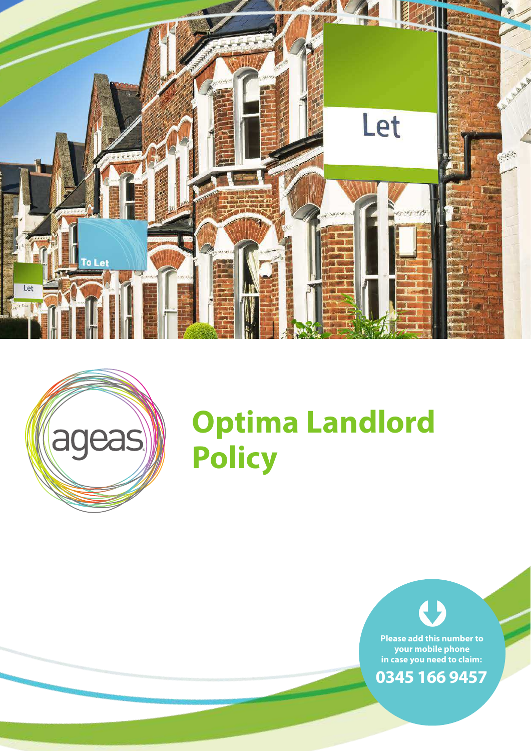



## **Optima Landlord Policy**

# 4

**Please add this number to your mobile phone in case you need to claim:**

**0345 166 9457**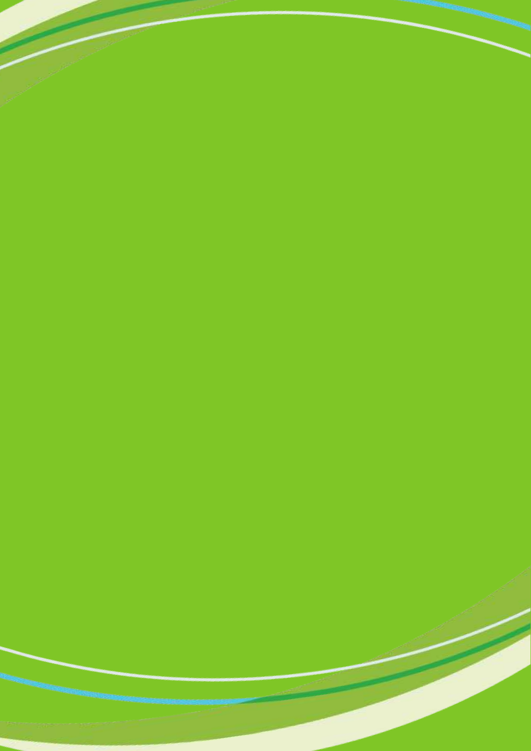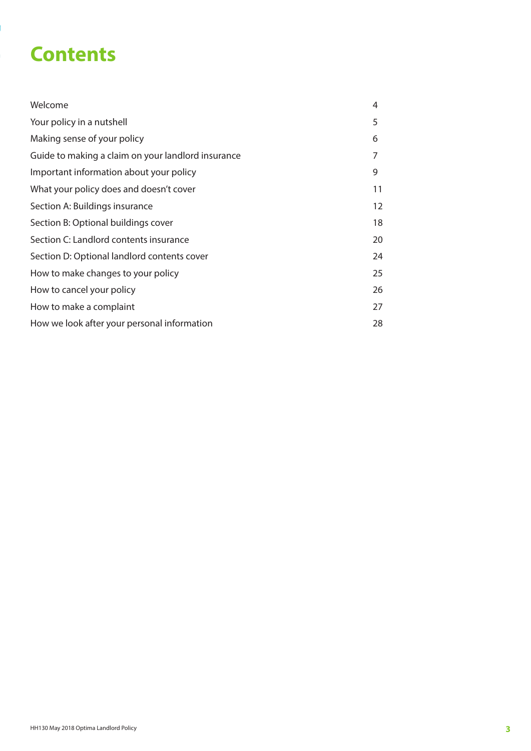### **Contents**

| Welcome                                            | 4  |
|----------------------------------------------------|----|
| Your policy in a nutshell                          | 5  |
| Making sense of your policy                        | 6  |
| Guide to making a claim on your landlord insurance | 7  |
| Important information about your policy            | 9  |
| What your policy does and doesn't cover            | 11 |
| Section A: Buildings insurance                     | 12 |
| Section B: Optional buildings cover                | 18 |
| Section C: Landlord contents insurance             | 20 |
| Section D: Optional landlord contents cover        | 24 |
| How to make changes to your policy                 | 25 |
| How to cancel your policy                          | 26 |
| How to make a complaint                            | 27 |
| How we look after your personal information        | 28 |

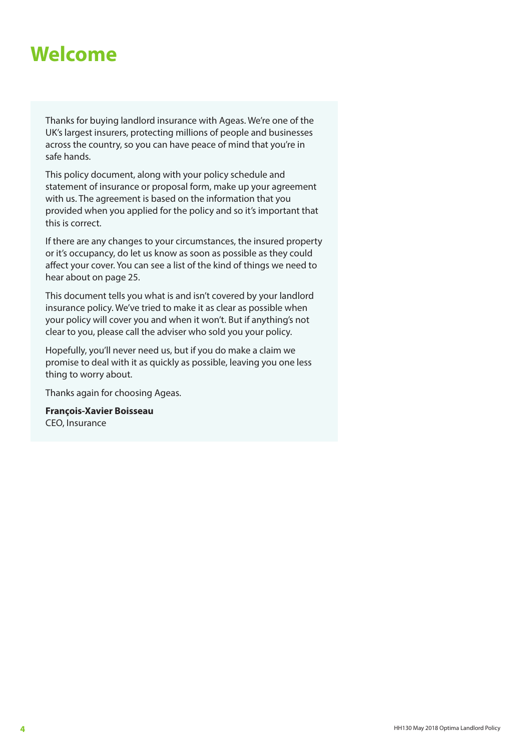### **Welcome**

Thanks for buying landlord insurance with Ageas. We're one of the UK's largest insurers, protecting millions of people and businesses across the country, so you can have peace of mind that you're in safe hands.

This policy document, along with your policy schedule and statement of insurance or proposal form, make up your agreement with us. The agreement is based on the information that you provided when you applied for the policy and so it's important that this is correct.

If there are any changes to your circumstances, the insured property or it's occupancy, do let us know as soon as possible as they could afect your cover. You can see a list of the kind of things we need to hear about on page 25.

This document tells you what is and isn't covered by your landlord insurance policy. We've tried to make it as clear as possible when your policy will cover you and when it won't. But if anything's not clear to you, please call the adviser who sold you your policy.

Hopefully, you'll never need us, but if you do make a claim we promise to deal with it as quickly as possible, leaving you one less thing to worry about.

Thanks again for choosing Ageas.

**François-Xavier Boisseau** CEO, Insurance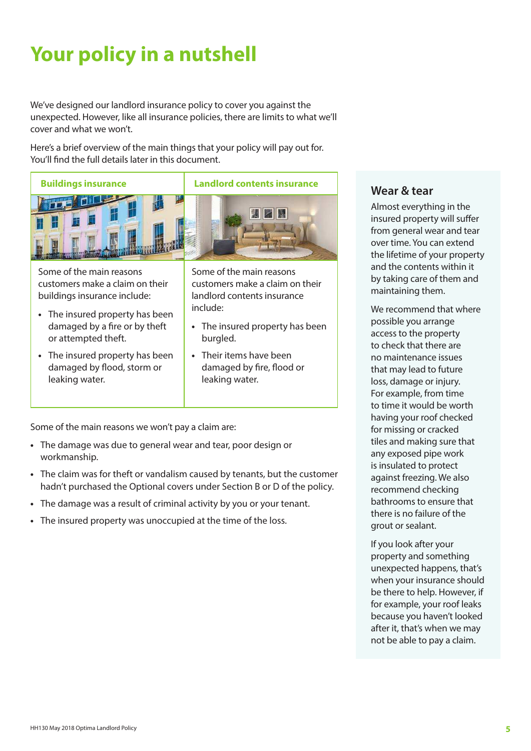### **Your policy in a nutshell**

We've designed our landlord insurance policy to cover you against the unexpected. However, like all insurance policies, there are limits to what we'll cover and what we won't.

Here's a brief overview of the main things that your policy will pay out for. You'll find the full details later in this document.



Some of the main reasons customers make a claim on their buildings insurance include:

- The insured property has been damaged by a fire or by theft or attempted theft.
- The insured property has been damaged by flood, storm or leaking water.

Some of the main reasons customers make a claim on their landlord contents insurance include:

- The insured property has been burgled.
- Their items have been damaged by fire, flood or leaking water.

Some of the main reasons we won't pay a claim are:

- The damage was due to general wear and tear, poor design or workmanship.
- The claim was for theft or vandalism caused by tenants, but the customer hadn't purchased the Optional covers under Section B or D of the policy.
- The damage was a result of criminal activity by you or your tenant.
- The insured property was unoccupied at the time of the loss.

#### **Wear & tear**

Almost everything in the insured property will suffer from general wear and tear over time. You can extend the lifetime of your property and the contents within it by taking care of them and maintaining them.

We recommend that where possible you arrange access to the property to check that there are no maintenance issues that may lead to future loss, damage or injury. For example, from time to time it would be worth having your roof checked for missing or cracked tiles and making sure that any exposed pipe work is insulated to protect against freezing. We also recommend checking bathrooms to ensure that there is no failure of the grout or sealant.

If you look after your property and something unexpected happens, that's when your insurance should be there to help. However, if for example, your roof leaks because you haven't looked after it, that's when we may not be able to pay a claim.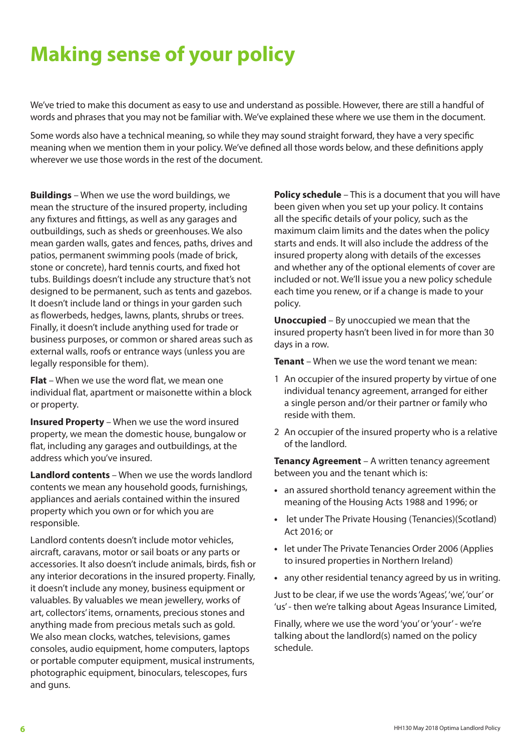### **Making sense of your policy**

We've tried to make this document as easy to use and understand as possible. However, there are still a handful of words and phrases that you may not be familiar with. We've explained these where we use them in the document.

Some words also have a technical meaning, so while they may sound straight forward, they have a very specific meaning when we mention them in your policy. We've defined all those words below, and these definitions apply wherever we use those words in the rest of the document.

**Buildings** – When we use the word buildings, we mean the structure of the insured property, including any fixtures and fittings, as well as any garages and outbuildings, such as sheds or greenhouses. We also mean garden walls, gates and fences, paths, drives and patios, permanent swimming pools (made of brick, stone or concrete), hard tennis courts, and fixed hot tubs. Buildings doesn't include any structure that's not designed to be permanent, such as tents and gazebos. It doesn't include land or things in your garden such as flowerbeds, hedges, lawns, plants, shrubs or trees. Finally, it doesn't include anything used for trade or business purposes, or common or shared areas such as external walls, roofs or entrance ways (unless you are legally responsible for them).

**Flat** – When we use the word flat, we mean one individual flat, apartment or maisonette within a block or property.

**Insured Property** – When we use the word insured property, we mean the domestic house, bungalow or flat, including any garages and outbuildings, at the address which you've insured.

**Landlord contents** – When we use the words landlord contents we mean any household goods, furnishings, appliances and aerials contained within the insured property which you own or for which you are responsible.

Landlord contents doesn't include motor vehicles, aircraft, caravans, motor or sail boats or any parts or accessories. It also doesn't include animals, birds, fish or any interior decorations in the insured property. Finally, it doesn't include any money, business equipment or valuables. By valuables we mean jewellery, works of art, collectors' items, ornaments, precious stones and anything made from precious metals such as gold. We also mean clocks, watches, televisions, games consoles, audio equipment, home computers, laptops or portable computer equipment, musical instruments, photographic equipment, binoculars, telescopes, furs and guns.

**Policy schedule** – This is a document that you will have been given when you set up your policy. It contains all the specific details of your policy, such as the maximum claim limits and the dates when the policy starts and ends. It will also include the address of the insured property along with details of the excesses and whether any of the optional elements of cover are included or not. We'll issue you a new policy schedule each time you renew, or if a change is made to your policy.

**Unoccupied** – By unoccupied we mean that the insured property hasn't been lived in for more than 30 days in a row.

**Tenant** – When we use the word tenant we mean:

- 1 An occupier of the insured property by virtue of one individual tenancy agreement, arranged for either a single person and/or their partner or family who reside with them.
- 2 An occupier of the insured property who is a relative of the landlord.

**Tenancy Agreement** – A written tenancy agreement between you and the tenant which is:

- an assured shorthold tenancy agreement within the meaning of the Housing Acts 1988 and 1996; or
- let under The Private Housing (Tenancies)(Scotland) Act 2016; or
- let under The Private Tenancies Order 2006 (Applies to insured properties in Northern Ireland)
- any other residential tenancy agreed by us in writing.

Just to be clear, if we use the words 'Ageas', 'we', 'our' or 'us' - then we're talking about Ageas Insurance Limited,

Finally, where we use the word 'you' or 'your' - we're talking about the landlord(s) named on the policy schedule.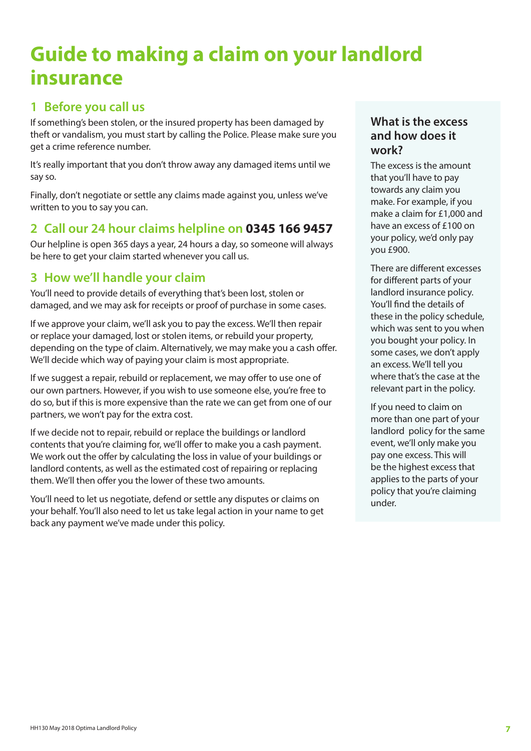### **Guide to making a claim on your landlord insurance**

#### **1 Before you call us**

If something's been stolen, or the insured property has been damaged by theft or vandalism, you must start by calling the Police. Please make sure you get a crime reference number.

It's really important that you don't throw away any damaged items until we say so.

Finally, don't negotiate or settle any claims made against you, unless we've written to you to say you can.

#### **2 Call our 24 hour claims helpline on 0345 166 9457**

Our helpline is open 365 days a year, 24 hours a day, so someone will always be here to get your claim started whenever you call us.

#### **3 How we'll handle your claim**

You'll need to provide details of everything that's been lost, stolen or damaged, and we may ask for receipts or proof of purchase in some cases.

If we approve your claim, we'll ask you to pay the excess. We'll then repair or replace your damaged, lost or stolen items, or rebuild your property, depending on the type of claim. Alternatively, we may make you a cash offer. We'll decide which way of paying your claim is most appropriate.

If we suggest a repair, rebuild or replacement, we may offer to use one of our own partners. However, if you wish to use someone else, you're free to do so, but if this is more expensive than the rate we can get from one of our partners, we won't pay for the extra cost.

If we decide not to repair, rebuild or replace the buildings or landlord contents that you're claiming for, we'll offer to make you a cash payment. We work out the offer by calculating the loss in value of your buildings or landlord contents, as well as the estimated cost of repairing or replacing them. We'll then offer you the lower of these two amounts.

You'll need to let us negotiate, defend or settle any disputes or claims on your behalf. You'll also need to let us take legal action in your name to get back any payment we've made under this policy.

#### **What is the excess and how does it work?**

The excess is the amount that you'll have to pay towards any claim you make. For example, if you make a claim for £1,000 and have an excess of £100 on your policy, we'd only pay you £900.

There are diferent excesses for diferent parts of your landlord insurance policy. You'll find the details of these in the policy schedule, which was sent to you when you bought your policy. In some cases, we don't apply an excess. We'll tell you where that's the case at the relevant part in the policy.

If you need to claim on more than one part of your landlord policy for the same event, we'll only make you pay one excess. This will be the highest excess that applies to the parts of your policy that you're claiming under.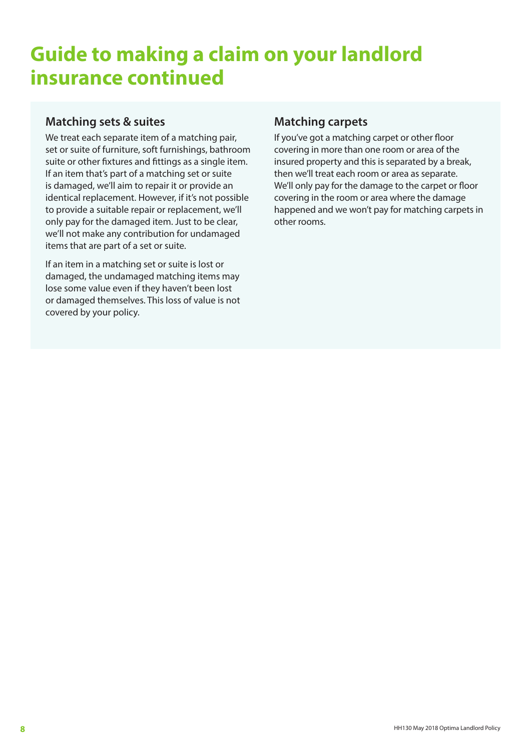### **Guide to making a claim on your landlord insurance continued**

#### **Matching sets & suites**

We treat each separate item of a matching pair, set or suite of furniture, soft furnishings, bathroom suite or other fixtures and fittings as a single item. If an item that's part of a matching set or suite is damaged, we'll aim to repair it or provide an identical replacement. However, if it's not possible to provide a suitable repair or replacement, we'll only pay for the damaged item. Just to be clear, we'll not make any contribution for undamaged items that are part of a set or suite.

If an item in a matching set or suite is lost or damaged, the undamaged matching items may lose some value even if they haven't been lost or damaged themselves. This loss of value is not covered by your policy.

#### **Matching carpets**

If you've got a matching carpet or other floor covering in more than one room or area of the insured property and this is separated by a break, then we'll treat each room or area as separate. We'll only pay for the damage to the carpet or floor covering in the room or area where the damage happened and we won't pay for matching carpets in other rooms.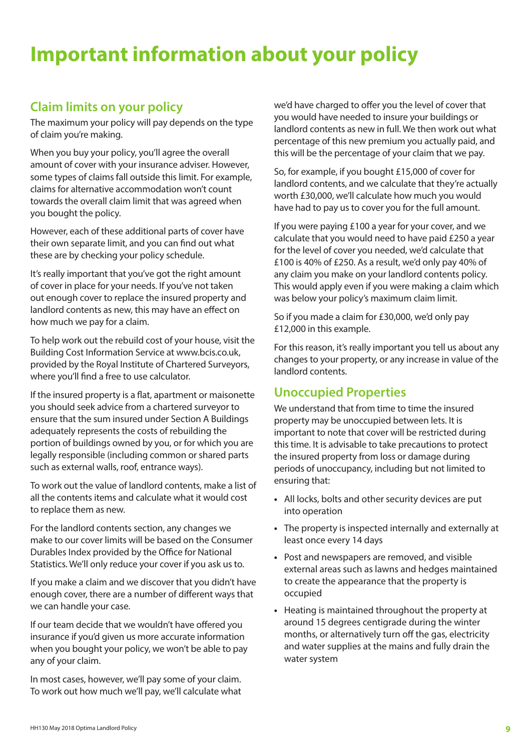### **Important information about your policy**

#### **Claim limits on your policy**

The maximum your policy will pay depends on the type of claim you're making.

When you buy your policy, you'll agree the overall amount of cover with your insurance adviser. However, some types of claims fall outside this limit. For example, claims for alternative accommodation won't count towards the overall claim limit that was agreed when you bought the policy.

However, each of these additional parts of cover have their own separate limit, and you can find out what these are by checking your policy schedule.

It's really important that you've got the right amount of cover in place for your needs. If you've not taken out enough cover to replace the insured property and landlord contents as new, this may have an effect on how much we pay for a claim.

To help work out the rebuild cost of your house, visit the Building Cost Information Service at www.bcis.co.uk, provided by the Royal Institute of Chartered Surveyors, where you'll find a free to use calculator.

If the insured property is a flat, apartment or maisonette you should seek advice from a chartered surveyor to ensure that the sum insured under Section A Buildings adequately represents the costs of rebuilding the portion of buildings owned by you, or for which you are legally responsible (including common or shared parts such as external walls, roof, entrance ways).

To work out the value of landlord contents, make a list of all the contents items and calculate what it would cost to replace them as new.

For the landlord contents section, any changes we make to our cover limits will be based on the Consumer Durables Index provided by the Office for National Statistics. We'll only reduce your cover if you ask us to.

If you make a claim and we discover that you didn't have enough cover, there are a number of diferent ways that we can handle your case.

If our team decide that we wouldn't have offered you insurance if you'd given us more accurate information when you bought your policy, we won't be able to pay any of your claim.

In most cases, however, we'll pay some of your claim. To work out how much we'll pay, we'll calculate what we'd have charged to offer you the level of cover that you would have needed to insure your buildings or landlord contents as new in full. We then work out what percentage of this new premium you actually paid, and this will be the percentage of your claim that we pay.

So, for example, if you bought £15,000 of cover for landlord contents, and we calculate that they're actually worth £30,000, we'll calculate how much you would have had to pay us to cover you for the full amount.

If you were paying £100 a year for your cover, and we calculate that you would need to have paid £250 a year for the level of cover you needed, we'd calculate that £100 is 40% of £250. As a result, we'd only pay 40% of any claim you make on your landlord contents policy. This would apply even if you were making a claim which was below your policy's maximum claim limit.

So if you made a claim for £30,000, we'd only pay £12,000 in this example.

For this reason, it's really important you tell us about any changes to your property, or any increase in value of the landlord contents.

#### **Unoccupied Properties**

We understand that from time to time the insured property may be unoccupied between lets. It is important to note that cover will be restricted during this time. It is advisable to take precautions to protect the insured property from loss or damage during periods of unoccupancy, including but not limited to ensuring that:

- All locks, bolts and other security devices are put into operation
- The property is inspected internally and externally at least once every 14 days
- Post and newspapers are removed, and visible external areas such as lawns and hedges maintained to create the appearance that the property is occupied
- Heating is maintained throughout the property at around 15 degrees centigrade during the winter months, or alternatively turn off the gas, electricity and water supplies at the mains and fully drain the water system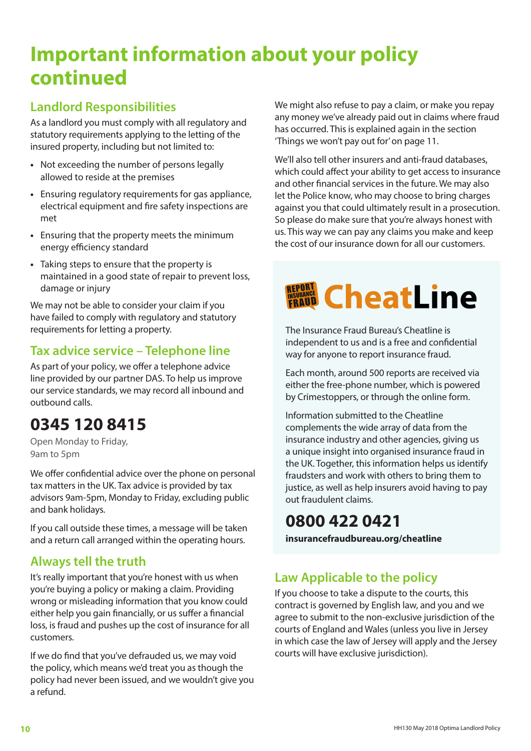### **Important information about your policy continued**

#### **Landlord Responsibilities**

As a landlord you must comply with all regulatory and statutory requirements applying to the letting of the insured property, including but not limited to:

- Not exceeding the number of persons legally allowed to reside at the premises
- Ensuring regulatory requirements for gas appliance, electrical equipment and fire safety inspections are met
- Ensuring that the property meets the minimum energy efficiency standard
- Taking steps to ensure that the property is maintained in a good state of repair to prevent loss, damage or injury

We may not be able to consider your claim if you have failed to comply with regulatory and statutory requirements for letting a property.

#### **Tax advice service – Telephone line**

As part of your policy, we offer a telephone advice line provided by our partner DAS. To help us improve our service standards, we may record all inbound and outbound calls.

### **0345 120 8415**

Open Monday to Friday, 9am to 5pm

We offer confidential advice over the phone on personal tax matters in the UK. Tax advice is provided by tax advisors 9am-5pm, Monday to Friday, excluding public and bank holidays.

If you call outside these times, a message will be taken and a return call arranged within the operating hours.

#### **Always tell the truth**

It's really important that you're honest with us when you're buying a policy or making a claim. Providing wrong or misleading information that you know could either help you gain financially, or us suffer a financial loss, is fraud and pushes up the cost of insurance for all customers.

If we do find that you've defrauded us, we may void the policy, which means we'd treat you as though the policy had never been issued, and we wouldn't give you a refund.

We might also refuse to pay a claim, or make you repay any money we've already paid out in claims where fraud has occurred. This is explained again in the section 'Things we won't pay out for' on page 11.

We'll also tell other insurers and anti-fraud databases, which could afect your ability to get access to insurance and other financial services in the future. We may also let the Police know, who may choose to bring charges against you that could ultimately result in a prosecution. So please do make sure that you're always honest with us. This way we can pay any claims you make and keep the cost of our insurance down for all our customers.

# 

The Insurance Fraud Bureau's Cheatline is independent to us and is a free and confidential way for anyone to report insurance fraud.

Each month, around 500 reports are received via either the free-phone number, which is powered by Crimestoppers, or through the online form.

Information submitted to the Cheatline complements the wide array of data from the insurance industry and other agencies, giving us a unique insight into organised insurance fraud in the UK. Together, this information helps us identify fraudsters and work with others to bring them to justice, as well as help insurers avoid having to pay out fraudulent claims.

#### **0800 422 0421**

**insurancefraudbureau.org/cheatline**

#### **Law Applicable to the policy**

If you choose to take a dispute to the courts, this contract is governed by English law, and you and we agree to submit to the non-exclusive jurisdiction of the courts of England and Wales (unless you live in Jersey in which case the law of Jersey will apply and the Jersey courts will have exclusive jurisdiction).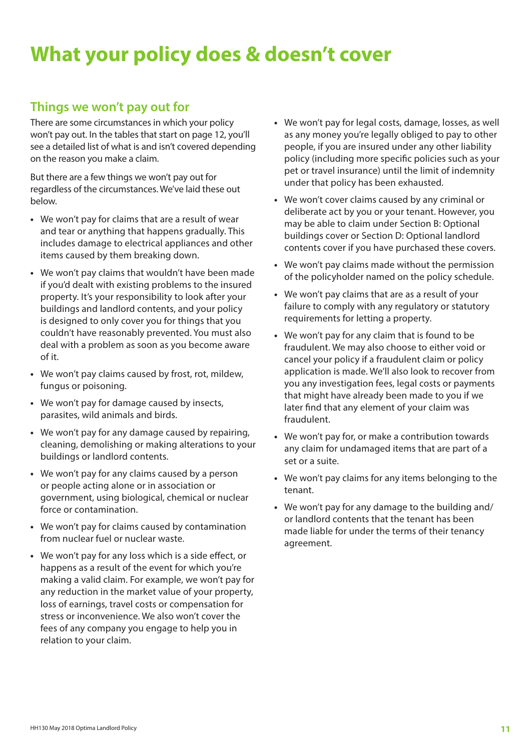### **What your policy does & doesn't cover**

#### **Things we won't pay out for**

There are some circumstances in which your policy won't pay out. In the tables that start on page 12, you'll see a detailed list of what is and isn't covered depending on the reason you make a claim.

But there are a few things we won't pay out for regardless of the circumstances. We've laid these out below.

- We won't pay for claims that are a result of wear and tear or anything that happens gradually. This includes damage to electrical appliances and other items caused by them breaking down.
- We won't pay claims that wouldn't have been made if you'd dealt with existing problems to the insured property. It's your responsibility to look after your buildings and landlord contents, and your policy is designed to only cover you for things that you couldn't have reasonably prevented. You must also deal with a problem as soon as you become aware of it.
- We won't pay claims caused by frost, rot, mildew, fungus or poisoning.
- We won't pay for damage caused by insects, parasites, wild animals and birds.
- We won't pay for any damage caused by repairing, cleaning, demolishing or making alterations to your buildings or landlord contents.
- We won't pay for any claims caused by a person or people acting alone or in association or government, using biological, chemical or nuclear force or contamination.
- We won't pay for claims caused by contamination from nuclear fuel or nuclear waste.
- We won't pay for any loss which is a side efect, or happens as a result of the event for which you're making a valid claim. For example, we won't pay for any reduction in the market value of your property, loss of earnings, travel costs or compensation for stress or inconvenience. We also won't cover the fees of any company you engage to help you in relation to your claim.
- We won't pay for legal costs, damage, losses, as well as any money you're legally obliged to pay to other people, if you are insured under any other liability policy (including more specific policies such as your pet or travel insurance) until the limit of indemnity under that policy has been exhausted.
- We won't cover claims caused by any criminal or deliberate act by you or your tenant. However, you may be able to claim under Section B: Optional buildings cover or Section D: Optional landlord contents cover if you have purchased these covers.
- We won't pay claims made without the permission of the policyholder named on the policy schedule.
- We won't pay claims that are as a result of your failure to comply with any regulatory or statutory requirements for letting a property.
- We won't pay for any claim that is found to be fraudulent. We may also choose to either void or cancel your policy if a fraudulent claim or policy application is made. We'll also look to recover from you any investigation fees, legal costs or payments that might have already been made to you if we later find that any element of your claim was fraudulent.
- We won't pay for, or make a contribution towards any claim for undamaged items that are part of a set or a suite.
- We won't pay claims for any items belonging to the tenant.
- We won't pay for any damage to the building and/ or landlord contents that the tenant has been made liable for under the terms of their tenancy agreement.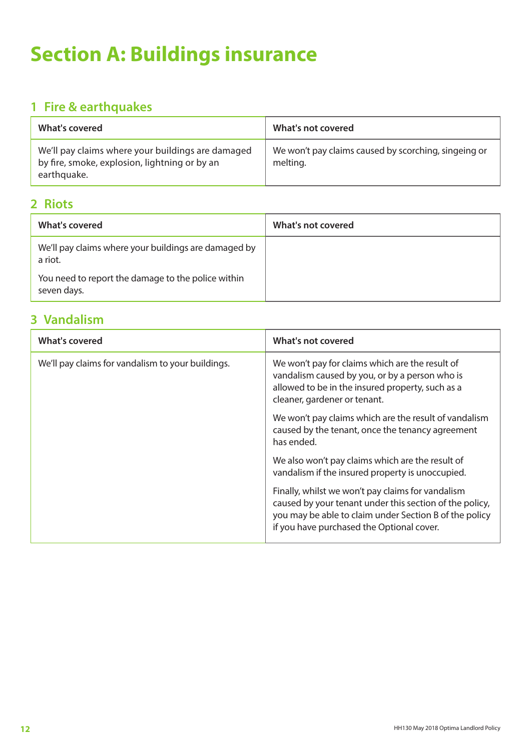### **Section A: Buildings insurance**

#### **1 Fire & earthquakes**

| What's covered                                                                                                    | What's not covered                                               |
|-------------------------------------------------------------------------------------------------------------------|------------------------------------------------------------------|
| We'll pay claims where your buildings are damaged<br>by fire, smoke, explosion, lightning or by an<br>earthquake. | We won't pay claims caused by scorching, singeing or<br>melting. |

#### **2 Riots**

| What's covered                                                    | What's not covered |
|-------------------------------------------------------------------|--------------------|
| We'll pay claims where your buildings are damaged by<br>a riot.   |                    |
| You need to report the damage to the police within<br>seven days. |                    |

#### **3 Vandalism**

| What's covered                                    | What's not covered                                                                                                                                                                                                  |
|---------------------------------------------------|---------------------------------------------------------------------------------------------------------------------------------------------------------------------------------------------------------------------|
| We'll pay claims for vandalism to your buildings. | We won't pay for claims which are the result of<br>vandalism caused by you, or by a person who is<br>allowed to be in the insured property, such as a<br>cleaner, gardener or tenant.                               |
|                                                   | We won't pay claims which are the result of vandalism<br>caused by the tenant, once the tenancy agreement<br>has ended.                                                                                             |
|                                                   | We also won't pay claims which are the result of<br>vandalism if the insured property is unoccupied.                                                                                                                |
|                                                   | Finally, whilst we won't pay claims for vandalism<br>caused by your tenant under this section of the policy,<br>you may be able to claim under Section B of the policy<br>if you have purchased the Optional cover. |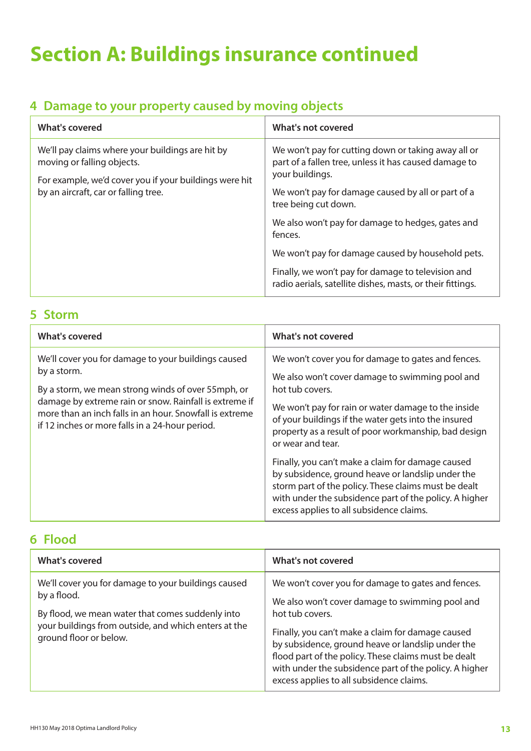#### **4 Damage to your property caused by moving objects**

| What's covered                                                                                 | What's not covered                                                                                                              |
|------------------------------------------------------------------------------------------------|---------------------------------------------------------------------------------------------------------------------------------|
| We'll pay claims where your buildings are hit by<br>moving or falling objects.                 | We won't pay for cutting down or taking away all or<br>part of a fallen tree, unless it has caused damage to<br>your buildings. |
| For example, we'd cover you if your buildings were hit<br>by an aircraft, car or falling tree. | We won't pay for damage caused by all or part of a<br>tree being cut down.                                                      |
|                                                                                                | We also won't pay for damage to hedges, gates and<br>fences.                                                                    |
|                                                                                                | We won't pay for damage caused by household pets.                                                                               |
|                                                                                                | Finally, we won't pay for damage to television and<br>radio aerials, satellite dishes, masts, or their fittings.                |

#### **5 Storm**

| What's covered                                                                                                                                                                                                                                                                                   | What's not covered                                                                                                                                                                                                                                                                                                                                                                                                                                                                                                                                                                           |
|--------------------------------------------------------------------------------------------------------------------------------------------------------------------------------------------------------------------------------------------------------------------------------------------------|----------------------------------------------------------------------------------------------------------------------------------------------------------------------------------------------------------------------------------------------------------------------------------------------------------------------------------------------------------------------------------------------------------------------------------------------------------------------------------------------------------------------------------------------------------------------------------------------|
| We'll cover you for damage to your buildings caused<br>by a storm.<br>By a storm, we mean strong winds of over 55mph, or<br>damage by extreme rain or snow. Rainfall is extreme if<br>more than an inch falls in an hour. Snowfall is extreme<br>if 12 inches or more falls in a 24-hour period. | We won't cover you for damage to gates and fences.<br>We also won't cover damage to swimming pool and<br>hot tub covers.<br>We won't pay for rain or water damage to the inside<br>of your buildings if the water gets into the insured<br>property as a result of poor workmanship, bad design<br>or wear and tear.<br>Finally, you can't make a claim for damage caused<br>by subsidence, ground heave or landslip under the<br>storm part of the policy. These claims must be dealt<br>with under the subsidence part of the policy. A higher<br>excess applies to all subsidence claims. |

#### **6 Flood**

| What's covered                                                                                                                                                                                           | What's not covered                                                                                                                                                                                                                                                                                                                                                                               |
|----------------------------------------------------------------------------------------------------------------------------------------------------------------------------------------------------------|--------------------------------------------------------------------------------------------------------------------------------------------------------------------------------------------------------------------------------------------------------------------------------------------------------------------------------------------------------------------------------------------------|
| We'll cover you for damage to your buildings caused<br>by a flood.<br>By flood, we mean water that comes suddenly into<br>your buildings from outside, and which enters at the<br>ground floor or below. | We won't cover you for damage to gates and fences.<br>We also won't cover damage to swimming pool and<br>hot tub covers.<br>Finally, you can't make a claim for damage caused<br>by subsidence, ground heave or landslip under the<br>flood part of the policy. These claims must be dealt<br>with under the subsidence part of the policy. A higher<br>excess applies to all subsidence claims. |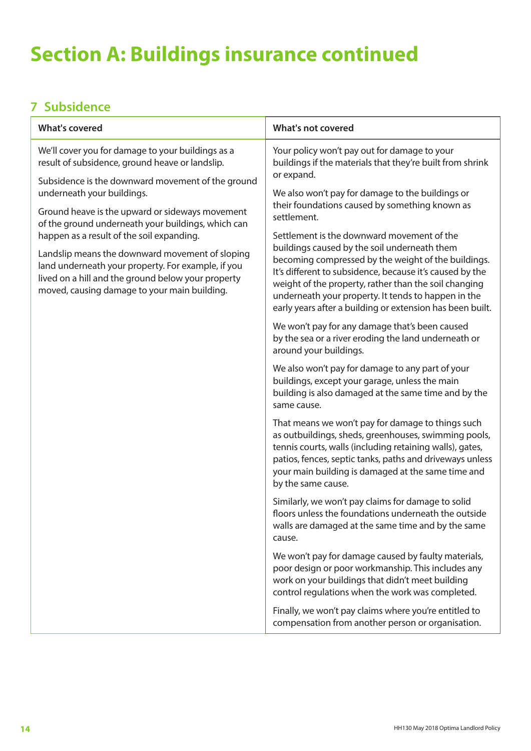#### **7 Subsidence**

| <b>What's covered</b>                                                                                                                                                                                       | <b>What's not covered</b>                                                                                                                                                                                                                                                                                     |
|-------------------------------------------------------------------------------------------------------------------------------------------------------------------------------------------------------------|---------------------------------------------------------------------------------------------------------------------------------------------------------------------------------------------------------------------------------------------------------------------------------------------------------------|
| We'll cover you for damage to your buildings as a<br>result of subsidence, ground heave or landslip.                                                                                                        | Your policy won't pay out for damage to your<br>buildings if the materials that they're built from shrink<br>or expand.                                                                                                                                                                                       |
| Subsidence is the downward movement of the ground<br>underneath your buildings.                                                                                                                             | We also won't pay for damage to the buildings or                                                                                                                                                                                                                                                              |
| Ground heave is the upward or sideways movement<br>of the ground underneath your buildings, which can                                                                                                       | their foundations caused by something known as<br>settlement.                                                                                                                                                                                                                                                 |
| happen as a result of the soil expanding.                                                                                                                                                                   | Settlement is the downward movement of the<br>buildings caused by the soil underneath them                                                                                                                                                                                                                    |
| Landslip means the downward movement of sloping<br>land underneath your property. For example, if you<br>lived on a hill and the ground below your property<br>moved, causing damage to your main building. | becoming compressed by the weight of the buildings.<br>It's different to subsidence, because it's caused by the<br>weight of the property, rather than the soil changing<br>underneath your property. It tends to happen in the<br>early years after a building or extension has been built.                  |
|                                                                                                                                                                                                             | We won't pay for any damage that's been caused<br>by the sea or a river eroding the land underneath or<br>around your buildings.                                                                                                                                                                              |
|                                                                                                                                                                                                             | We also won't pay for damage to any part of your<br>buildings, except your garage, unless the main<br>building is also damaged at the same time and by the<br>same cause.                                                                                                                                     |
|                                                                                                                                                                                                             | That means we won't pay for damage to things such<br>as outbuildings, sheds, greenhouses, swimming pools,<br>tennis courts, walls (including retaining walls), gates,<br>patios, fences, septic tanks, paths and driveways unless<br>your main building is damaged at the same time and<br>by the same cause. |
|                                                                                                                                                                                                             | Similarly, we won't pay claims for damage to solid<br>floors unless the foundations underneath the outside<br>walls are damaged at the same time and by the same<br>cause.                                                                                                                                    |
|                                                                                                                                                                                                             | We won't pay for damage caused by faulty materials,<br>poor design or poor workmanship. This includes any<br>work on your buildings that didn't meet building<br>control regulations when the work was completed.                                                                                             |
|                                                                                                                                                                                                             | Finally, we won't pay claims where you're entitled to<br>compensation from another person or organisation.                                                                                                                                                                                                    |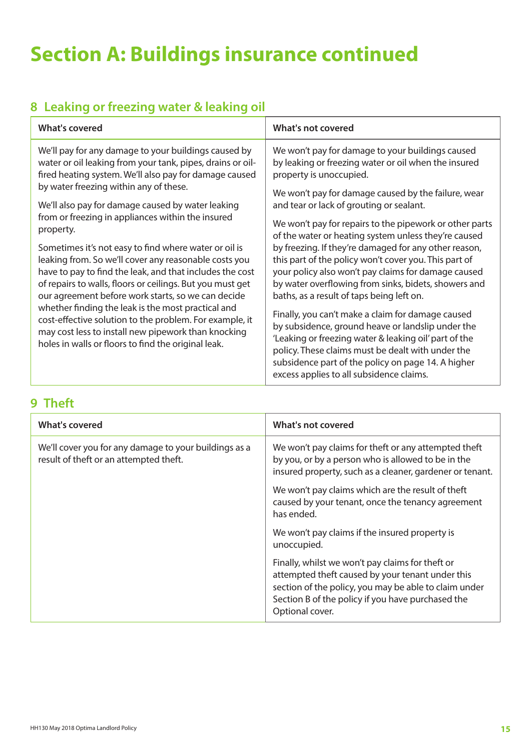#### **8 Leaking or freezing water & leaking oil**

| <b>What's covered</b>                                                                                                                                                                                                                                                                                                                                                                                                                                                                                                                                                                                                                                                                                                                                                                                                                                                         | <b>What's not covered</b>                                                                                                                                                                                                                                                                                                                                                                                                                                                                                                                                                                                                                                                                                                                                                                                                                                                                                                                                         |
|-------------------------------------------------------------------------------------------------------------------------------------------------------------------------------------------------------------------------------------------------------------------------------------------------------------------------------------------------------------------------------------------------------------------------------------------------------------------------------------------------------------------------------------------------------------------------------------------------------------------------------------------------------------------------------------------------------------------------------------------------------------------------------------------------------------------------------------------------------------------------------|-------------------------------------------------------------------------------------------------------------------------------------------------------------------------------------------------------------------------------------------------------------------------------------------------------------------------------------------------------------------------------------------------------------------------------------------------------------------------------------------------------------------------------------------------------------------------------------------------------------------------------------------------------------------------------------------------------------------------------------------------------------------------------------------------------------------------------------------------------------------------------------------------------------------------------------------------------------------|
| We'll pay for any damage to your buildings caused by<br>water or oil leaking from your tank, pipes, drains or oil-<br>fired heating system. We'll also pay for damage caused<br>by water freezing within any of these.<br>We'll also pay for damage caused by water leaking<br>from or freezing in appliances within the insured<br>property.<br>Sometimes it's not easy to find where water or oil is<br>leaking from. So we'll cover any reasonable costs you<br>have to pay to find the leak, and that includes the cost<br>of repairs to walls, floors or ceilings. But you must get<br>our agreement before work starts, so we can decide<br>whether finding the leak is the most practical and<br>cost-effective solution to the problem. For example, it<br>may cost less to install new pipework than knocking<br>holes in walls or floors to find the original leak. | We won't pay for damage to your buildings caused<br>by leaking or freezing water or oil when the insured<br>property is unoccupied.<br>We won't pay for damage caused by the failure, wear<br>and tear or lack of grouting or sealant.<br>We won't pay for repairs to the pipework or other parts<br>of the water or heating system unless they're caused<br>by freezing. If they're damaged for any other reason,<br>this part of the policy won't cover you. This part of<br>your policy also won't pay claims for damage caused<br>by water overflowing from sinks, bidets, showers and<br>baths, as a result of taps being left on.<br>Finally, you can't make a claim for damage caused<br>by subsidence, ground heave or landslip under the<br>'Leaking or freezing water & leaking oil' part of the<br>policy. These claims must be dealt with under the<br>subsidence part of the policy on page 14. A higher<br>excess applies to all subsidence claims. |

#### **9 Theft**

| What's covered                                                                                  | What's not covered                                                                                                                                                                                                                    |
|-------------------------------------------------------------------------------------------------|---------------------------------------------------------------------------------------------------------------------------------------------------------------------------------------------------------------------------------------|
| We'll cover you for any damage to your buildings as a<br>result of theft or an attempted theft. | We won't pay claims for theft or any attempted theft<br>by you, or by a person who is allowed to be in the<br>insured property, such as a cleaner, gardener or tenant.                                                                |
|                                                                                                 | We won't pay claims which are the result of theft<br>caused by your tenant, once the tenancy agreement<br>has ended.                                                                                                                  |
|                                                                                                 | We won't pay claims if the insured property is<br>unoccupied.                                                                                                                                                                         |
|                                                                                                 | Finally, whilst we won't pay claims for theft or<br>attempted theft caused by your tenant under this<br>section of the policy, you may be able to claim under<br>Section B of the policy if you have purchased the<br>Optional cover. |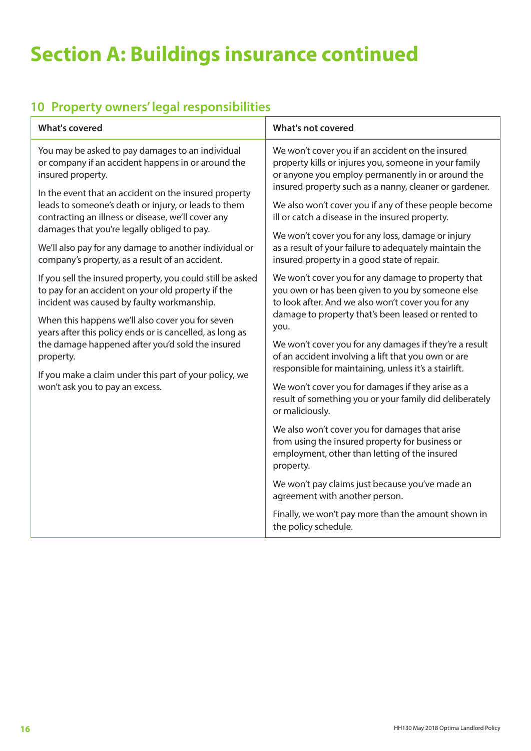#### **10 Property owners' legal responsibilities**

| <b>What's covered</b>                                                                                                                                                                                                                                                        | <b>What's not covered</b>                                                                                                                                                                                                                                         |
|------------------------------------------------------------------------------------------------------------------------------------------------------------------------------------------------------------------------------------------------------------------------------|-------------------------------------------------------------------------------------------------------------------------------------------------------------------------------------------------------------------------------------------------------------------|
| You may be asked to pay damages to an individual<br>or company if an accident happens in or around the<br>insured property.                                                                                                                                                  | We won't cover you if an accident on the insured<br>property kills or injures you, someone in your family<br>or anyone you employ permanently in or around the<br>insured property such as a nanny, cleaner or gardener.                                          |
| In the event that an accident on the insured property<br>leads to someone's death or injury, or leads to them<br>contracting an illness or disease, we'll cover any<br>damages that you're legally obliged to pay.<br>We'll also pay for any damage to another individual or | We also won't cover you if any of these people become<br>ill or catch a disease in the insured property.<br>We won't cover you for any loss, damage or injury<br>as a result of your failure to adequately maintain the                                           |
| company's property, as a result of an accident.<br>If you sell the insured property, you could still be asked<br>to pay for an accident on your old property if the<br>incident was caused by faulty workmanship.                                                            | insured property in a good state of repair.<br>We won't cover you for any damage to property that<br>you own or has been given to you by someone else<br>to look after. And we also won't cover you for any<br>damage to property that's been leased or rented to |
| When this happens we'll also cover you for seven<br>years after this policy ends or is cancelled, as long as<br>the damage happened after you'd sold the insured<br>property.<br>If you make a claim under this part of your policy, we                                      | you.<br>We won't cover you for any damages if they're a result<br>of an accident involving a lift that you own or are<br>responsible for maintaining, unless it's a stairlift.                                                                                    |
| won't ask you to pay an excess.                                                                                                                                                                                                                                              | We won't cover you for damages if they arise as a<br>result of something you or your family did deliberately<br>or maliciously.                                                                                                                                   |
|                                                                                                                                                                                                                                                                              | We also won't cover you for damages that arise<br>from using the insured property for business or<br>employment, other than letting of the insured<br>property.                                                                                                   |
|                                                                                                                                                                                                                                                                              | We won't pay claims just because you've made an<br>agreement with another person.                                                                                                                                                                                 |
|                                                                                                                                                                                                                                                                              | Finally, we won't pay more than the amount shown in<br>the policy schedule.                                                                                                                                                                                       |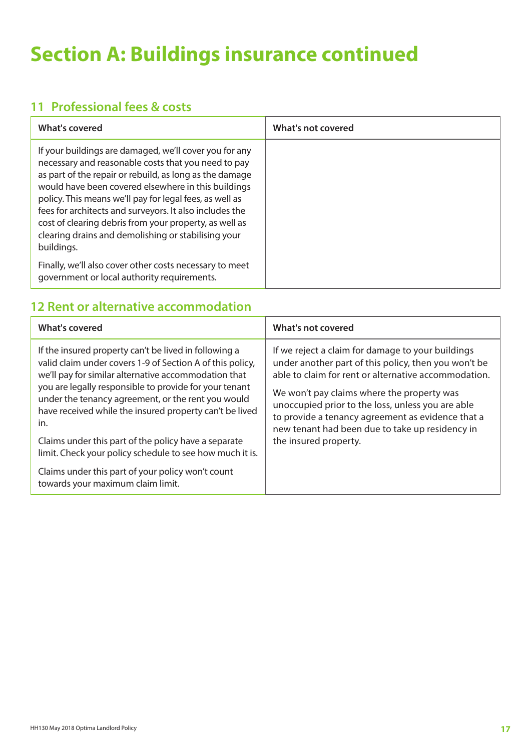#### **11 Professional fees & costs**

| What's covered                                                                                                                                                                                                                                                                                                                                                                                                                                                                       | What's not covered |
|--------------------------------------------------------------------------------------------------------------------------------------------------------------------------------------------------------------------------------------------------------------------------------------------------------------------------------------------------------------------------------------------------------------------------------------------------------------------------------------|--------------------|
| If your buildings are damaged, we'll cover you for any<br>necessary and reasonable costs that you need to pay<br>as part of the repair or rebuild, as long as the damage<br>would have been covered elsewhere in this buildings<br>policy. This means we'll pay for legal fees, as well as<br>fees for architects and surveyors. It also includes the<br>cost of clearing debris from your property, as well as<br>clearing drains and demolishing or stabilising your<br>buildings. |                    |
| Finally, we'll also cover other costs necessary to meet<br>government or local authority requirements.                                                                                                                                                                                                                                                                                                                                                                               |                    |

#### **12 Rent or alternative accommodation**

| What's covered                                                                                                                                                                                                                                                                                                                                                                                                                                                                   | What's not covered                                                                                                                                                                                                                                                                                                                                                                                    |
|----------------------------------------------------------------------------------------------------------------------------------------------------------------------------------------------------------------------------------------------------------------------------------------------------------------------------------------------------------------------------------------------------------------------------------------------------------------------------------|-------------------------------------------------------------------------------------------------------------------------------------------------------------------------------------------------------------------------------------------------------------------------------------------------------------------------------------------------------------------------------------------------------|
| If the insured property can't be lived in following a<br>valid claim under covers 1-9 of Section A of this policy,<br>we'll pay for similar alternative accommodation that<br>you are legally responsible to provide for your tenant<br>under the tenancy agreement, or the rent you would<br>have received while the insured property can't be lived<br>in.<br>Claims under this part of the policy have a separate<br>limit. Check your policy schedule to see how much it is. | If we reject a claim for damage to your buildings<br>under another part of this policy, then you won't be<br>able to claim for rent or alternative accommodation.<br>We won't pay claims where the property was<br>unoccupied prior to the loss, unless you are able<br>to provide a tenancy agreement as evidence that a<br>new tenant had been due to take up residency in<br>the insured property. |
| Claims under this part of your policy won't count<br>towards your maximum claim limit.                                                                                                                                                                                                                                                                                                                                                                                           |                                                                                                                                                                                                                                                                                                                                                                                                       |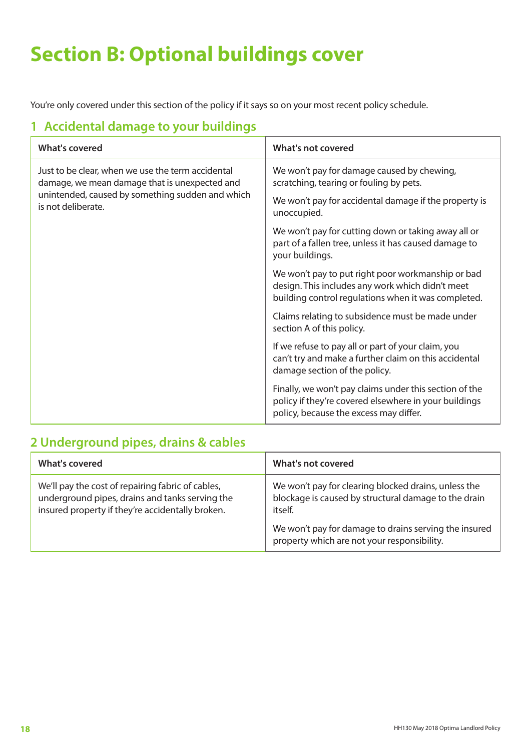### **Section B: Optional buildings cover**

You're only covered under this section of the policy if it says so on your most recent policy schedule.

#### **1 Accidental damage to your buildings**

| <b>What's covered</b>                                                                                                                                                        | What's not covered                                                                                                                                           |
|------------------------------------------------------------------------------------------------------------------------------------------------------------------------------|--------------------------------------------------------------------------------------------------------------------------------------------------------------|
| Just to be clear, when we use the term accidental<br>damage, we mean damage that is unexpected and<br>unintended, caused by something sudden and which<br>is not deliberate. | We won't pay for damage caused by chewing,<br>scratching, tearing or fouling by pets.                                                                        |
|                                                                                                                                                                              | We won't pay for accidental damage if the property is<br>unoccupied.                                                                                         |
|                                                                                                                                                                              | We won't pay for cutting down or taking away all or<br>part of a fallen tree, unless it has caused damage to<br>your buildings.                              |
|                                                                                                                                                                              | We won't pay to put right poor workmanship or bad<br>design. This includes any work which didn't meet<br>building control regulations when it was completed. |
|                                                                                                                                                                              | Claims relating to subsidence must be made under<br>section A of this policy.                                                                                |
|                                                                                                                                                                              | If we refuse to pay all or part of your claim, you<br>can't try and make a further claim on this accidental<br>damage section of the policy.                 |
|                                                                                                                                                                              | Finally, we won't pay claims under this section of the<br>policy if they're covered elsewhere in your buildings<br>policy, because the excess may differ.    |

#### **2 Underground pipes, drains & cables**

| What's covered                                                                                                                                           | What's not covered                                                                                                      |
|----------------------------------------------------------------------------------------------------------------------------------------------------------|-------------------------------------------------------------------------------------------------------------------------|
| We'll pay the cost of repairing fabric of cables,<br>underground pipes, drains and tanks serving the<br>insured property if they're accidentally broken. | We won't pay for clearing blocked drains, unless the<br>blockage is caused by structural damage to the drain<br>itself. |
|                                                                                                                                                          | We won't pay for damage to drains serving the insured<br>property which are not your responsibility.                    |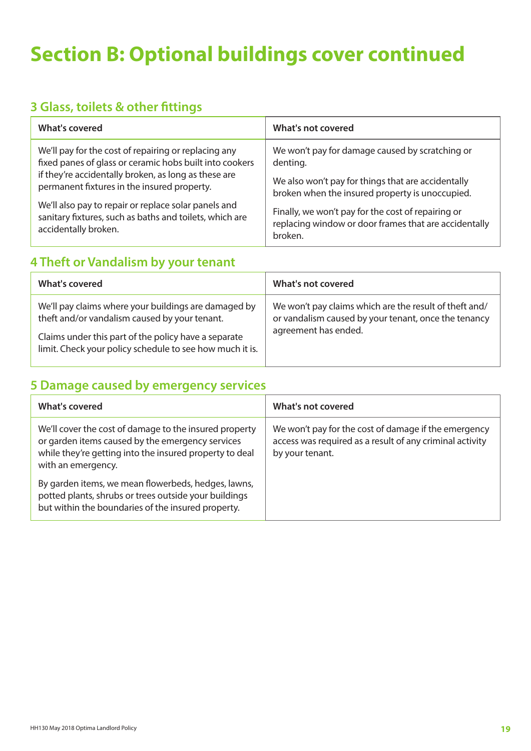### **Section B: Optional buildings cover continued**

#### **3 Glass, toilets & other fittings**

| What's covered                                          | What's not covered                                    |
|---------------------------------------------------------|-------------------------------------------------------|
| We'll pay for the cost of repairing or replacing any    | We won't pay for damage caused by scratching or       |
| fixed panes of glass or ceramic hobs built into cookers | denting.                                              |
| if they're accidentally broken, as long as these are    | We also won't pay for things that are accidentally    |
| permanent fixtures in the insured property.             | broken when the insured property is unoccupied.       |
| We'll also pay to repair or replace solar panels and    | Finally, we won't pay for the cost of repairing or    |
| sanitary fixtures, such as baths and toilets, which are | replacing window or door frames that are accidentally |
| accidentally broken.                                    | broken.                                               |

#### **4 Theft or Vandalism by your tenant**

| What's covered                                                                                                                                                                                                            | What's not covered                                                                                                                     |
|---------------------------------------------------------------------------------------------------------------------------------------------------------------------------------------------------------------------------|----------------------------------------------------------------------------------------------------------------------------------------|
| We'll pay claims where your buildings are damaged by<br>theft and/or vandalism caused by your tenant.<br>Claims under this part of the policy have a separate<br>limit. Check your policy schedule to see how much it is. | We won't pay claims which are the result of theft and/<br>or vandalism caused by your tenant, once the tenancy<br>agreement has ended. |

#### **5 Damage caused by emergency services**

| <b>What's covered</b>                                                                                                                                                                       | What's not covered                                                                                                                  |
|---------------------------------------------------------------------------------------------------------------------------------------------------------------------------------------------|-------------------------------------------------------------------------------------------------------------------------------------|
| We'll cover the cost of damage to the insured property<br>or garden items caused by the emergency services<br>while they're getting into the insured property to deal<br>with an emergency. | We won't pay for the cost of damage if the emergency<br>access was required as a result of any criminal activity<br>by your tenant. |
| By garden items, we mean flowerbeds, hedges, lawns,<br>potted plants, shrubs or trees outside your buildings<br>but within the boundaries of the insured property.                          |                                                                                                                                     |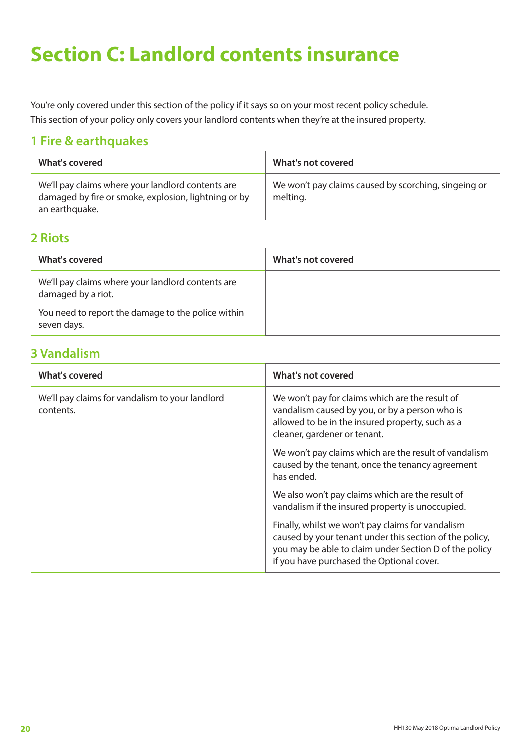### **Section C: Landlord contents insurance**

You're only covered under this section of the policy if it says so on your most recent policy schedule. This section of your policy only covers your landlord contents when they're at the insured property.

#### **1 Fire & earthquakes**

| What's covered                                                                                                              | What's not covered                                               |
|-----------------------------------------------------------------------------------------------------------------------------|------------------------------------------------------------------|
| We'll pay claims where your landlord contents are<br>damaged by fire or smoke, explosion, lightning or by<br>an earthquake. | We won't pay claims caused by scorching, singeing or<br>melting. |

#### **2 Riots**

| What's covered                                                          | What's not covered |
|-------------------------------------------------------------------------|--------------------|
| We'll pay claims where your landlord contents are<br>damaged by a riot. |                    |
| You need to report the damage to the police within<br>seven days.       |                    |

#### **3 Vandalism**

| What's covered                                               | What's not covered                                                                                                                                                                                                  |
|--------------------------------------------------------------|---------------------------------------------------------------------------------------------------------------------------------------------------------------------------------------------------------------------|
| We'll pay claims for vandalism to your landlord<br>contents. | We won't pay for claims which are the result of<br>vandalism caused by you, or by a person who is<br>allowed to be in the insured property, such as a<br>cleaner, gardener or tenant.                               |
|                                                              | We won't pay claims which are the result of vandalism<br>caused by the tenant, once the tenancy agreement<br>has ended.                                                                                             |
|                                                              | We also won't pay claims which are the result of<br>vandalism if the insured property is unoccupied.                                                                                                                |
|                                                              | Finally, whilst we won't pay claims for vandalism<br>caused by your tenant under this section of the policy,<br>you may be able to claim under Section D of the policy<br>if you have purchased the Optional cover. |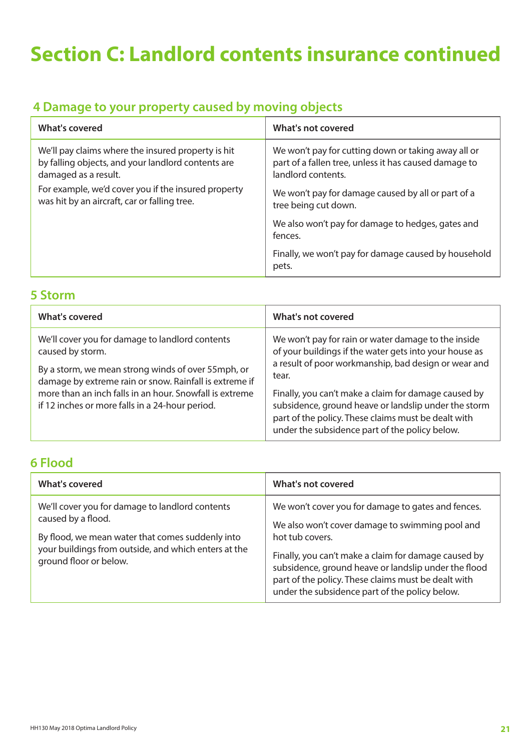### **Section C: Landlord contents insurance continued**

#### **4 Damage to your property caused by moving objects**

| What's covered                                                                                                                   | What's not covered                                                                                                                 |
|----------------------------------------------------------------------------------------------------------------------------------|------------------------------------------------------------------------------------------------------------------------------------|
| We'll pay claims where the insured property is hit<br>by falling objects, and your landlord contents are<br>damaged as a result. | We won't pay for cutting down or taking away all or<br>part of a fallen tree, unless it has caused damage to<br>landlord contents. |
| For example, we'd cover you if the insured property<br>was hit by an aircraft, car or falling tree.                              | We won't pay for damage caused by all or part of a<br>tree being cut down.                                                         |
|                                                                                                                                  | We also won't pay for damage to hedges, gates and<br>fences.                                                                       |
|                                                                                                                                  | Finally, we won't pay for damage caused by household<br>pets.                                                                      |

#### **5 Storm**

| What's covered                                                                                               | What's not covered                                                                                                                                                                                                    |
|--------------------------------------------------------------------------------------------------------------|-----------------------------------------------------------------------------------------------------------------------------------------------------------------------------------------------------------------------|
| We'll cover you for damage to landlord contents<br>caused by storm.                                          | We won't pay for rain or water damage to the inside<br>of your buildings if the water gets into your house as<br>a result of poor workmanship, bad design or wear and                                                 |
| By a storm, we mean strong winds of over 55mph, or<br>damage by extreme rain or snow. Rainfall is extreme if | tear.                                                                                                                                                                                                                 |
| more than an inch falls in an hour. Snowfall is extreme<br>if 12 inches or more falls in a 24-hour period.   | Finally, you can't make a claim for damage caused by<br>subsidence, ground heave or landslip under the storm<br>part of the policy. These claims must be dealt with<br>under the subsidence part of the policy below. |

#### **6 Flood**

| What's covered                                                                                                                                                                                              | What's not covered                                                                                                                                                                                                                                                                                                                                |
|-------------------------------------------------------------------------------------------------------------------------------------------------------------------------------------------------------------|---------------------------------------------------------------------------------------------------------------------------------------------------------------------------------------------------------------------------------------------------------------------------------------------------------------------------------------------------|
| We'll cover you for damage to landlord contents<br>caused by a flood.<br>By flood, we mean water that comes suddenly into<br>your buildings from outside, and which enters at the<br>ground floor or below. | We won't cover you for damage to gates and fences.<br>We also won't cover damage to swimming pool and<br>hot tub covers.<br>Finally, you can't make a claim for damage caused by<br>subsidence, ground heave or landslip under the flood<br>part of the policy. These claims must be dealt with<br>under the subsidence part of the policy below. |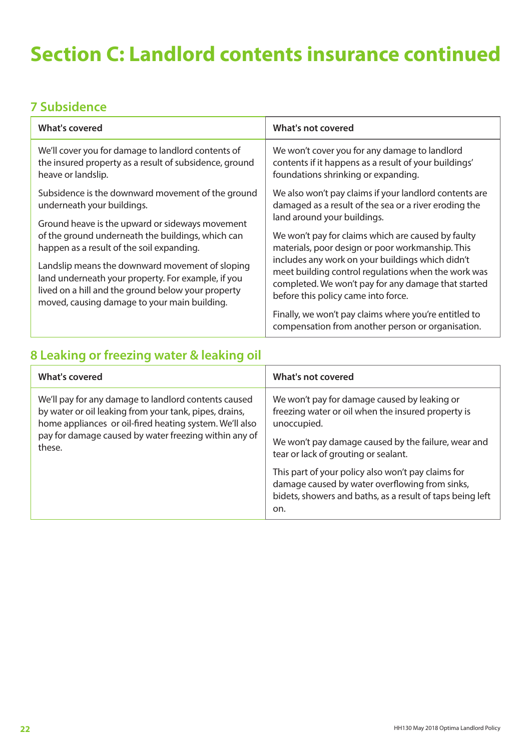### **Section C: Landlord contents insurance continued**

#### **7 Subsidence**

| <b>What's covered</b>                                  | What's not covered                                                                                         |
|--------------------------------------------------------|------------------------------------------------------------------------------------------------------------|
| We'll cover you for damage to landlord contents of     | We won't cover you for any damage to landlord                                                              |
| the insured property as a result of subsidence, ground | contents if it happens as a result of your buildings'                                                      |
| heave or landslip.                                     | foundations shrinking or expanding.                                                                        |
| Subsidence is the downward movement of the ground      | We also won't pay claims if your landlord contents are                                                     |
| underneath your buildings.                             | damaged as a result of the sea or a river eroding the                                                      |
| Ground heave is the upward or sideways movement        | land around your buildings.                                                                                |
| of the ground underneath the buildings, which can      | We won't pay for claims which are caused by faulty                                                         |
| happen as a result of the soil expanding.              | materials, poor design or poor workmanship. This                                                           |
| Landslip means the downward movement of sloping        | includes any work on your buildings which didn't                                                           |
| land underneath your property. For example, if you     | meet building control regulations when the work was                                                        |
| lived on a hill and the ground below your property     | completed. We won't pay for any damage that started                                                        |
| moved, causing damage to your main building.           | before this policy came into force.                                                                        |
|                                                        | Finally, we won't pay claims where you're entitled to<br>compensation from another person or organisation. |

#### **8 Leaking or freezing water & leaking oil**

| <b>What's covered</b>                                                                                                                                                                                                                        | What's not covered                                                                                                                                                       |
|----------------------------------------------------------------------------------------------------------------------------------------------------------------------------------------------------------------------------------------------|--------------------------------------------------------------------------------------------------------------------------------------------------------------------------|
| We'll pay for any damage to landlord contents caused<br>by water or oil leaking from your tank, pipes, drains,<br>home appliances or oil-fired heating system. We'll also<br>pay for damage caused by water freezing within any of<br>these. | We won't pay for damage caused by leaking or<br>freezing water or oil when the insured property is<br>unoccupied.                                                        |
|                                                                                                                                                                                                                                              | We won't pay damage caused by the failure, wear and<br>tear or lack of grouting or sealant.                                                                              |
|                                                                                                                                                                                                                                              | This part of your policy also won't pay claims for<br>damage caused by water overflowing from sinks,<br>bidets, showers and baths, as a result of taps being left<br>on. |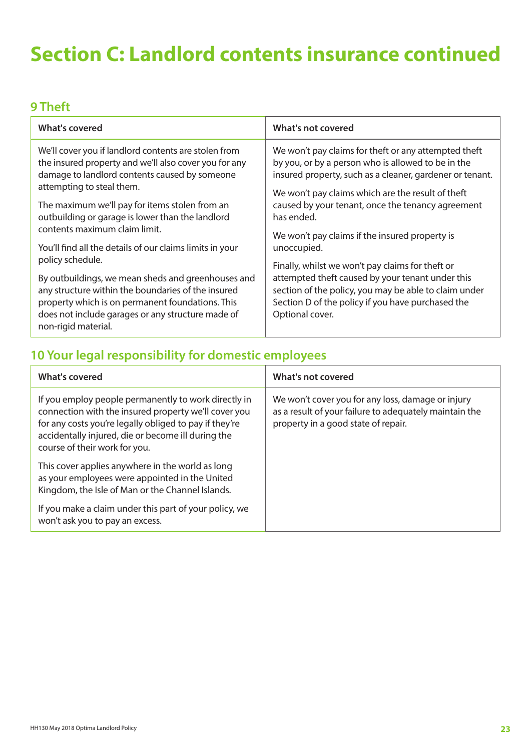### **Section C: Landlord contents insurance continued**

#### **9 Theft**

| What's not covered                                                                                                                                                                                                                    |
|---------------------------------------------------------------------------------------------------------------------------------------------------------------------------------------------------------------------------------------|
| We won't pay claims for theft or any attempted theft<br>by you, or by a person who is allowed to be in the<br>insured property, such as a cleaner, gardener or tenant.                                                                |
| We won't pay claims which are the result of theft<br>caused by your tenant, once the tenancy agreement<br>has ended.                                                                                                                  |
| We won't pay claims if the insured property is<br>unoccupied.                                                                                                                                                                         |
| Finally, whilst we won't pay claims for theft or<br>attempted theft caused by your tenant under this<br>section of the policy, you may be able to claim under<br>Section D of the policy if you have purchased the<br>Optional cover. |
|                                                                                                                                                                                                                                       |

#### **10 Your legal responsibility for domestic employees**

| What's covered                                                                                                                                                                                                                                                | What's not covered                                                                                                                                 |
|---------------------------------------------------------------------------------------------------------------------------------------------------------------------------------------------------------------------------------------------------------------|----------------------------------------------------------------------------------------------------------------------------------------------------|
| If you employ people permanently to work directly in<br>connection with the insured property we'll cover you<br>for any costs you're legally obliged to pay if they're<br>accidentally injured, die or become ill during the<br>course of their work for you. | We won't cover you for any loss, damage or injury<br>as a result of your failure to adequately maintain the<br>property in a good state of repair. |
| This cover applies anywhere in the world as long<br>as your employees were appointed in the United<br>Kingdom, the Isle of Man or the Channel Islands.                                                                                                        |                                                                                                                                                    |
| If you make a claim under this part of your policy, we<br>won't ask you to pay an excess.                                                                                                                                                                     |                                                                                                                                                    |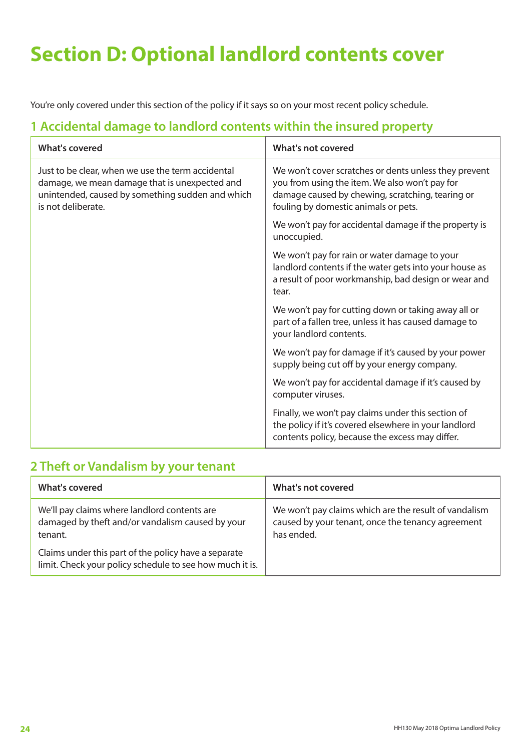### **Section D: Optional landlord contents cover**

You're only covered under this section of the policy if it says so on your most recent policy schedule.

#### **1 Accidental damage to landlord contents within the insured property**

| <b>What's covered</b>                                                                                                                                                        | What's not covered                                                                                                                                                                                  |
|------------------------------------------------------------------------------------------------------------------------------------------------------------------------------|-----------------------------------------------------------------------------------------------------------------------------------------------------------------------------------------------------|
| Just to be clear, when we use the term accidental<br>damage, we mean damage that is unexpected and<br>unintended, caused by something sudden and which<br>is not deliberate. | We won't cover scratches or dents unless they prevent<br>you from using the item. We also won't pay for<br>damage caused by chewing, scratching, tearing or<br>fouling by domestic animals or pets. |
|                                                                                                                                                                              | We won't pay for accidental damage if the property is<br>unoccupied.                                                                                                                                |
|                                                                                                                                                                              | We won't pay for rain or water damage to your<br>landlord contents if the water gets into your house as<br>a result of poor workmanship, bad design or wear and<br>tear.                            |
|                                                                                                                                                                              | We won't pay for cutting down or taking away all or<br>part of a fallen tree, unless it has caused damage to<br>your landlord contents.                                                             |
|                                                                                                                                                                              | We won't pay for damage if it's caused by your power<br>supply being cut off by your energy company.                                                                                                |
|                                                                                                                                                                              | We won't pay for accidental damage if it's caused by<br>computer viruses.                                                                                                                           |
|                                                                                                                                                                              | Finally, we won't pay claims under this section of<br>the policy if it's covered elsewhere in your landlord<br>contents policy, because the excess may differ.                                      |

#### **2 Theft or Vandalism by your tenant**

| What's covered                                                                                                   | What's not covered                                                                                                       |
|------------------------------------------------------------------------------------------------------------------|--------------------------------------------------------------------------------------------------------------------------|
| We'll pay claims where landlord contents are<br>damaged by theft and/or vandalism caused by your<br>tenant.      | We won't pay claims which are the result of vandalism<br>caused by your tenant, once the tenancy agreement<br>has ended. |
| Claims under this part of the policy have a separate<br>limit. Check your policy schedule to see how much it is. |                                                                                                                          |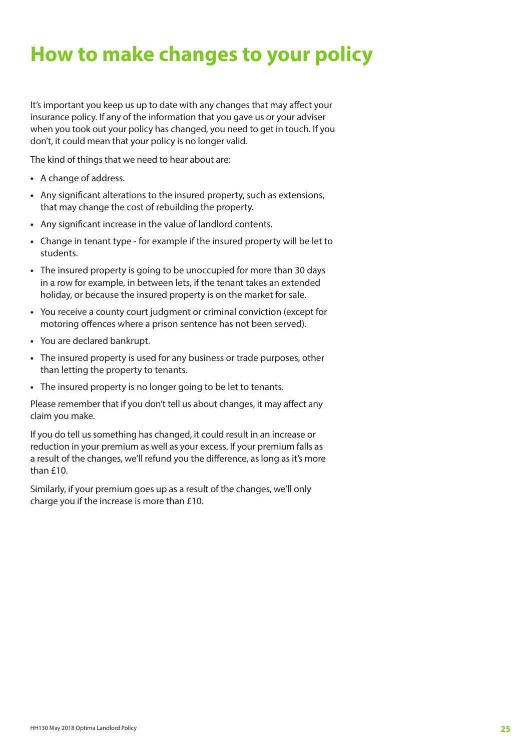### **How to make changes to your policy**

It's important you keep us up to date with any changes that may afect your insurance policy. If any of the information that you gave us or your adviser when you took out your policy has changed, you need to get in touch. If you don't, it could mean that your policy is no longer valid.

The kind of things that we need to hear about are:

- A change of address.
- Any significant alterations to the insured property, such as extensions, that may change the cost of rebuilding the property.
- Any significant increase in the value of landlord contents.
- Change in tenant type for example if the insured property will be let to students.
- The insured property is going to be unoccupied for more than 30 days in a row for example, in between lets, if the tenant takes an extended holiday, or because the insured property is on the market for sale.
- You receive a county court judgment or criminal conviction (except for motoring offences where a prison sentence has not been served).
- You are declared bankrupt.
- The insured property is used for any business or trade purposes, other than letting the property to tenants.
- The insured property is no longer going to be let to tenants.

Please remember that if you don't tell us about changes, it may affect any claim you make.

If you do tell us something has changed, it could result in an increase or reduction in your premium as well as your excess. If your premium falls as a result of the changes, we'll refund you the diference, as long as it's more than £10.

Similarly, if your premium goes up as a result of the changes, we'll only charge you if the increase is more than £10.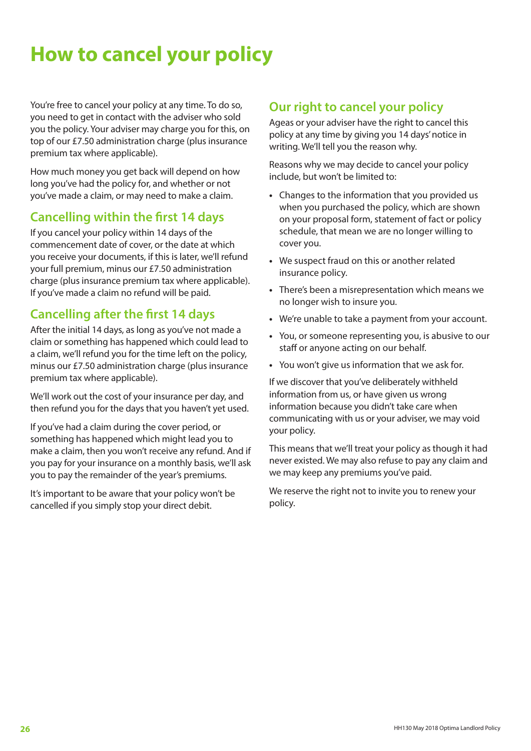### **How to cancel your policy**

You're free to cancel your policy at any time. To do so, you need to get in contact with the adviser who sold you the policy. Your adviser may charge you for this, on top of our £7.50 administration charge (plus insurance premium tax where applicable).

How much money you get back will depend on how long you've had the policy for, and whether or not you've made a claim, or may need to make a claim.

#### **Cancelling within the first 14 days**

If you cancel your policy within 14 days of the commencement date of cover, or the date at which you receive your documents, if this is later, we'll refund your full premium, minus our £7.50 administration charge (plus insurance premium tax where applicable). If you've made a claim no refund will be paid.

#### **Cancelling after the first 14 days**

After the initial 14 days, as long as you've not made a claim or something has happened which could lead to a claim, we'll refund you for the time left on the policy, minus our £7.50 administration charge (plus insurance premium tax where applicable).

We'll work out the cost of your insurance per day, and then refund you for the days that you haven't yet used.

If you've had a claim during the cover period, or something has happened which might lead you to make a claim, then you won't receive any refund. And if you pay for your insurance on a monthly basis, we'll ask you to pay the remainder of the year's premiums.

It's important to be aware that your policy won't be cancelled if you simply stop your direct debit.

#### **Our right to cancel your policy**

Ageas or your adviser have the right to cancel this policy at any time by giving you 14 days' notice in writing. We'll tell you the reason why.

Reasons why we may decide to cancel your policy include, but won't be limited to:

- Changes to the information that you provided us when you purchased the policy, which are shown on your proposal form, statement of fact or policy schedule, that mean we are no longer willing to cover you.
- We suspect fraud on this or another related insurance policy.
- There's been a misrepresentation which means we no longer wish to insure you.
- We're unable to take a payment from your account.
- You, or someone representing you, is abusive to our staff or anyone acting on our behalf.
- You won't give us information that we ask for.

If we discover that you've deliberately withheld information from us, or have given us wrong information because you didn't take care when communicating with us or your adviser, we may void your policy.

This means that we'll treat your policy as though it had never existed. We may also refuse to pay any claim and we may keep any premiums you've paid.

We reserve the right not to invite you to renew your policy.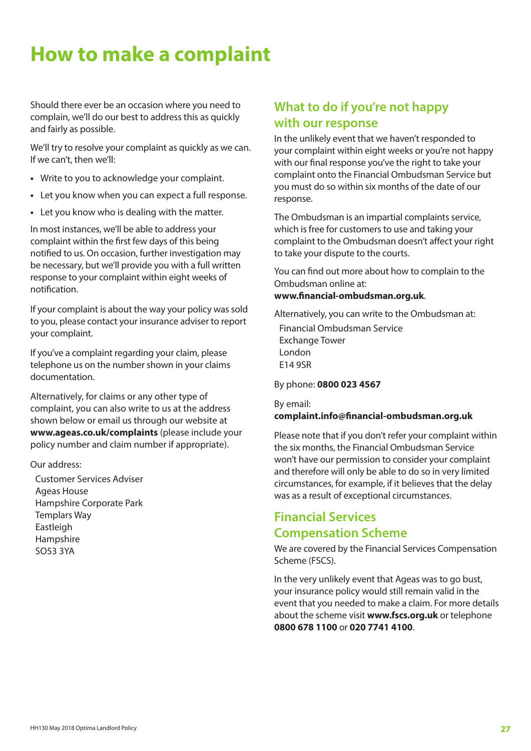### **How to make a complaint**

Should there ever be an occasion where you need to complain, we'll do our best to address this as quickly and fairly as possible.

We'll try to resolve your complaint as quickly as we can. If we can't, then we'll:

- Write to you to acknowledge your complaint.
- Let you know when you can expect a full response.
- Let you know who is dealing with the matter.

In most instances, we'll be able to address your complaint within the first few days of this being notified to us. On occasion, further investigation may be necessary, but we'll provide you with a full written response to your complaint within eight weeks of notification.

If your complaint is about the way your policy was sold to you, please contact your insurance adviser to report your complaint.

If you've a complaint regarding your claim, please telephone us on the number shown in your claims documentation.

Alternatively, for claims or any other type of complaint, you can also write to us at the address shown below or email us through our website at **www.ageas.co.uk/complaints** (please include your policy number and claim number if appropriate).

#### Our address:

Customer Services Adviser Ageas House Hampshire Corporate Park Templars Way Eastleigh Hampshire SO53 3YA

#### **What to do if you're not happy with our response**

In the unlikely event that we haven't responded to your complaint within eight weeks or you're not happy with our final response you've the right to take your complaint onto the Financial Ombudsman Service but you must do so within six months of the date of our response.

The Ombudsman is an impartial complaints service, which is free for customers to use and taking your complaint to the Ombudsman doesn't afect your right to take your dispute to the courts.

You can find out more about how to complain to the Ombudsman online at: **www.inancial-ombudsman.org.uk**.

Alternatively, you can write to the Ombudsman at:

Financial Ombudsman Service Exchange Tower London E14 9SR

By phone: **0800 023 4567**

By email: **complaint.info@inancial-ombudsman.org.uk**

Please note that if you don't refer your complaint within the six months, the Financial Ombudsman Service won't have our permission to consider your complaint and therefore will only be able to do so in very limited circumstances, for example, if it believes that the delay was as a result of exceptional circumstances.

#### **Financial Services Compensation Scheme**

We are covered by the Financial Services Compensation Scheme (FSCS).

In the very unlikely event that Ageas was to go bust, your insurance policy would still remain valid in the event that you needed to make a claim. For more details about the scheme visit **www.fscs.org.uk** or telephone **0800 678 1100** or **020 7741 4100**.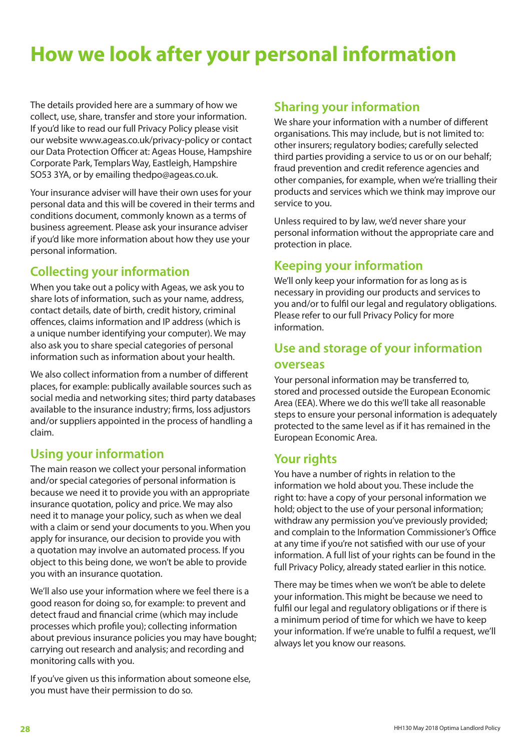### **How we look after your personal information**

The details provided here are a summary of how we collect, use, share, transfer and store your information. If you'd like to read our full Privacy Policy please visit our website www.ageas.co.uk/privacy-policy or contact our Data Protection Officer at: Ageas House, Hampshire Corporate Park, Templars Way, Eastleigh, Hampshire SO53 3YA, or by emailing thedpo@ageas.co.uk.

Your insurance adviser will have their own uses for your personal data and this will be covered in their terms and conditions document, commonly known as a terms of business agreement. Please ask your insurance adviser if you'd like more information about how they use your personal information.

#### **Collecting your information**

When you take out a policy with Ageas, we ask you to share lots of information, such as your name, address, contact details, date of birth, credit history, criminal ofences, claims information and IP address (which is a unique number identifying your computer). We may also ask you to share special categories of personal information such as information about your health.

We also collect information from a number of diferent places, for example: publically available sources such as social media and networking sites; third party databases available to the insurance industry; firms, loss adjustors and/or suppliers appointed in the process of handling a claim.

#### **Using your information**

The main reason we collect your personal information and/or special categories of personal information is because we need it to provide you with an appropriate insurance quotation, policy and price. We may also need it to manage your policy, such as when we deal with a claim or send your documents to you. When you apply for insurance, our decision to provide you with a quotation may involve an automated process. If you object to this being done, we won't be able to provide you with an insurance quotation.

We'll also use your information where we feel there is a good reason for doing so, for example: to prevent and detect fraud and financial crime (which may include processes which profile you); collecting information about previous insurance policies you may have bought; carrying out research and analysis; and recording and monitoring calls with you.

If you've given us this information about someone else, you must have their permission to do so.

#### **Sharing your information**

We share your information with a number of diferent organisations. This may include, but is not limited to: other insurers; regulatory bodies; carefully selected third parties providing a service to us or on our behalf; fraud prevention and credit reference agencies and other companies, for example, when we're trialling their products and services which we think may improve our service to you.

Unless required to by law, we'd never share your personal information without the appropriate care and protection in place.

#### **Keeping your information**

We'll only keep your information for as long as is necessary in providing our products and services to you and/or to fulfil our legal and regulatory obligations. Please refer to our full Privacy Policy for more information.

#### **Use and storage of your information overseas**

Your personal information may be transferred to, stored and processed outside the European Economic Area (EEA). Where we do this we'll take all reasonable steps to ensure your personal information is adequately protected to the same level as if it has remained in the European Economic Area.

#### **Your rights**

You have a number of rights in relation to the information we hold about you. These include the right to: have a copy of your personal information we hold; object to the use of your personal information; withdraw any permission you've previously provided; and complain to the Information Commissioner's Office at any time if you're not satisfied with our use of your information. A full list of your rights can be found in the full Privacy Policy, already stated earlier in this notice.

There may be times when we won't be able to delete your information. This might be because we need to fulfil our legal and regulatory obligations or if there is a minimum period of time for which we have to keep your information. If we're unable to fulfil a request, we'll always let you know our reasons.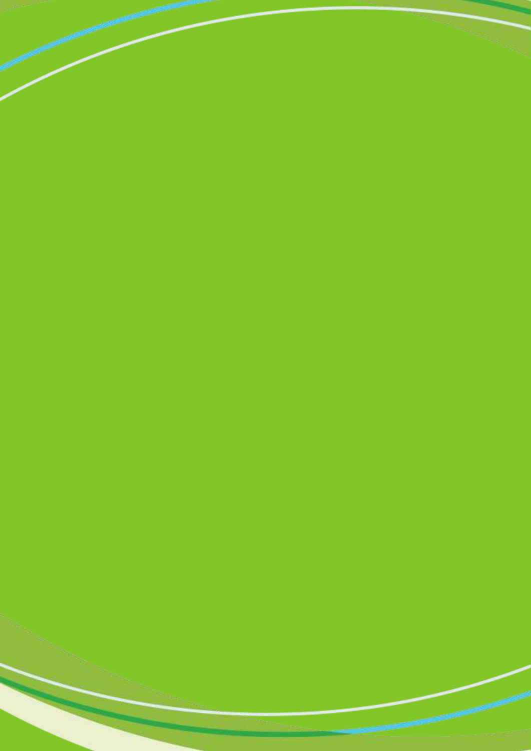